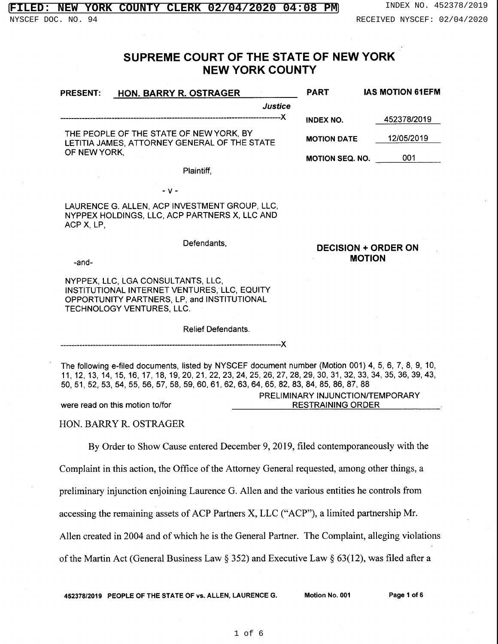## **FILERX 02/04/2020 04:08 PM** INDEX NO. 452378/2019

**DECISION** + **ORDER ON MOTION** 

## **SUPREME COURT** OF THE **STATE OF NEW YORK NEW YORK COUNTY**

| <b>HON. BARRY R. OSTRAGER</b><br><b>PRESENT:</b>                                        | <b>PART</b>            | <b>IAS MOTION 61EFM</b> |
|-----------------------------------------------------------------------------------------|------------------------|-------------------------|
| <b>Justice</b>                                                                          |                        |                         |
|                                                                                         | INDEX NO.              | 452378/2019             |
| THE PEOPLE OF THE STATE OF NEW YORK, BY<br>LETITIA JAMES, ATTORNEY GENERAL OF THE STATE | <b>MOTION DATE</b>     | 12/05/2019              |
| OF NEW YORK,                                                                            | <b>MOTION SEQ. NO.</b> | 001                     |

Plaintiff,

- **V** -

LAURENCE G. ALLEN, ACP INVESTMENT GROUP, LLC, NYPPEX HOLDINGS, LLC, ACP PARTNERS X, LLC AND ACP X, LP,

Defendants,

-and-

NYPPEX, LLC, LGA CONSULTANTS, LLC, INSTITUTIONAL INTERNET VENTURES, LLC, EQUITY OPPORTUNITY PARTNERS, LP, and INSTITUTIONAL TECHNOLOGY VENTURES, LLC.

> Relief Defendants. efendants.<br><mark>-------------------------</mark>X

The following e-filed documents, listed by NYSCEF document number (Motion 001) 4, 5, 6, 7, 8, 9, 10, 11, 12, 13, 14, 15, 16, 17, 18, 19,20,21,22,23, 24,25,26,27, 28,29, 30, 31, 32, 33, 34, 35, 36, 39,43, 50,51, 52,53, 54, 55, 56, 57, 58, 59,60,61,62,63,64,65, 82, 83, 84, 85, 86, 87, 88 were read on this motion to/for PRELIMINARY INJUNCTION/TEMPORARY RESTRAINING ORDER

HON. BARRY R. OSTRAGER

By Order to Show Cause entered December 9, 2019, filed contemporaneously with the

Complaint in this action, the Office of the Attorney General requested, among other things, a

preliminary injunction enjoining Laurence G. Allen and the various entities he controls from

accessing the remaining assets of ACP Partners X, LLC ("ACP"), a limited partnership Mr.

Allen created in 2004 and of which he is the General Partner. The Complaint, alleging violations

of the Martin Act (General Business Law  $\S$  352) and Executive Law  $\S$  63(12), was filed after a

**452378/2019 PEOPLE OF THE STATE OF vs. ALLEN, LAURENCE G. Motion No. 001 Page 1 of 6**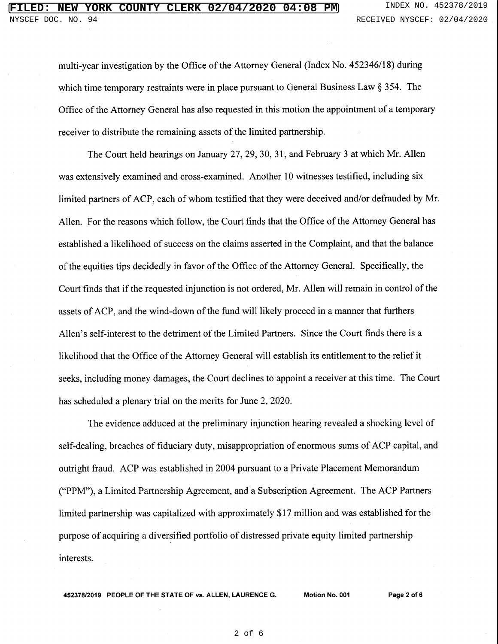multi-year investigation by the Office of the Attorney General (Index No. 452346/18) during which time temporary restraints were in place pursuant to General Business Law § 354. The Office of the Attorney General has also requested in this motion the appointment of a temporary receiver to distribute the remaining assets of the limited partnership.

The Court held hearings on January 27, 29, 30, 31, and February 3 at which Mr. Allen was extensively examined and cross-examined. Another 10 witnesses testified, including six limited partners of ACP, each of whom testified that they were deceived and/or defrauded by Mr. Allen. For the reasons which follow, the Court finds that the Office of the Attorney General has established a likelihood of success on the claims asserted in the Complaint, and that the balance of the equities tips decidedly in favor of the Office of the Attorney General. Specifically, the Court finds that if the requested injunction is not ordered, Mr. Allen will remain in control of the assets of ACP, and the wind-down of the fund will likely proceed in a manner that furthers Allen's self-interest to the detriment of the Limited Partners. Since the Court finds there is a likelihood that the Office of the Attorney General will establish its entitlement to the relief it seeks, including money damages, the Court declines to appoint a receiver at this time. The Court has scheduled a plenary trial on the merits for June 2, 2020.

The evidence adduced at the preliminary injunction hearing revealed a shocking level of self-dealing, breaches of fiduciary duty, misappropriation of enormous sums of ACP capital, and outright fraud. ACP was established in 2004 pursuant to a Private Placement Memorandum ("PPM"), a Limited Partnership Agreement, and a Subscription Agreement. The ACP Partners limited partnership was capitalized with approximately \$17 million and was established for the purpose of acquiring a diversified portfolio of distressed private equity limited partnership interests.

**452378/2019 PEOPLE OF THE STATE OF vs. ALLEN, LAURENCE G. Motion No. 001 Page2 of&**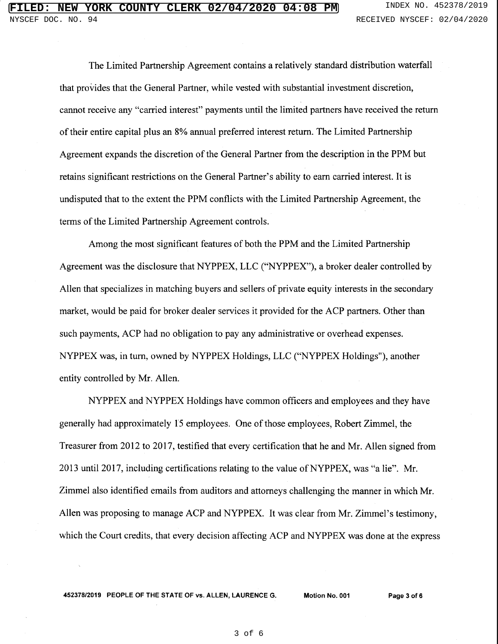The Limited Partnership Agreement contains a relatively standard distribution waterfall that provides that the General Partner, while vested with substantial investment discretion, cannot receive any "carried interest" payments until the limited partners have received the return of their entire capital plus an 8% annual preferred interest return. The Limited Partnership Agreement expands the discretion of the General Partner from the description in the PPM but retains significant restrictions on the General Partner's ability to earn carried interest. It is undisputed that to the extent the PPM conflicts with the Limited Partnership Agreement, the terms of the Limited Partnership Agreement controls.

Among the most significant features of both the PPM and the Limited Partnership Agreement was the disclosure that NYPPEX, LLC ("NYPPEX"), a broker dealer controlled by Allen that specializes in matching buyers and sellers of private equity interests in the secondary market, would be paid for broker dealer services it provided for the ACP partners. Other than such payments, ACP had no obligation to pay any administrative or overhead expenses. NYPPEX was, in tum, owned by NYPPEX Holdings, LLC ("NYPPEX Holdings"), another entity controlled by Mr. Allen.

NYPPEX and NYPPEX Holdings have common officers and employees and they have generally had approximately 15 employees. One of those employees, Robert Zimmel, the Treasurer from 2012 to 2017, testified that every certification that he and Mr. Allen signed from 2013 until 2017, including certifications relating to the value of NYPPEX, was "a lie". Mr. Zimmel also identified emails from auditors and attorneys challenging the manner in which Mr. Allen was proposing to manage ACP and NYPPEX. It was clear from Mr. Zimmel's testimony, which the Court credits, that every decision affecting ACP and NYPPEX was done at the express

**452378/2019 PEOPLE OF THE STATE OF vs. ALLEN, LAURENCE G. Motion No. 001 Page 3 of6**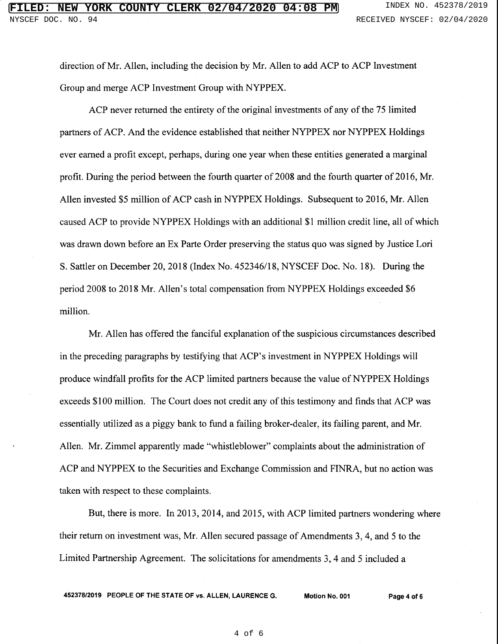direction of Mr. Allen, including the decision by Mr. Allen to add ACP to ACP Investment Group and merge ACP Investment Group with NYPPEX.

ACP never returned the entirety of the original investments of any of the 75 limited partners of ACP. And the evidence established that neither NYPPEX nor NYPPEX Holdings ever earned a profit except, perhaps, during one year when these entities generated a marginal profit. During the period between the fourth quarter of 2008 and the fourth quarter of 2016, Mr. Allen invested \$5 million of ACP cash in NYPPEX Holdings. Subsequent to 2016, Mr. Allen caused ACP to provide NYPPEX Holdings with an additional \$1 million credit line, all of which was drawn down before an Ex Parte Order preserving the status quo was signed by Justice Lori S. Sattler on December 20, 2018 (Index No. 452346/18, NYSCEF Doc. No. 18). During the period 2008 to 2018 Mr. Allen's total compensation from NYPPEX Holdings exceeded \$6 million.

Mr. Allen has offered the fanciful explanation of the suspicious circumstances described in the preceding paragraphs by testifying that ACP's investment in NYPPEX Holdings will produce windfall profits for the ACP limited partners because the value of NYPPEX Holdings exceeds \$100 million. The Court does not credit any of this testimony and finds that ACP was essentially utilized as a piggy bank to fund a failing broker-dealer, its failing parent, and Mr. Allen. Mr. Zimmel apparently made "whistleblower" complaints about the administration of ACP and NYPPEX to the Securities and Exchange Commission and FINRA, but no action was taken with respect to these complaints.

But, there is more. In 2013, 2014, and 2015, with ACP limited partners wondering where their return on investment was, Mr. Allen secured passage of Amendments 3, 4, and 5 to the Limited Partnership Agreement. The solicitations for amendments 3, 4 and 5 included a

**452378/2019 PEOPLE OF THE STATE OF vs. ALLEN, LAURENCE G. Motion No. 001 Page 4 of 6**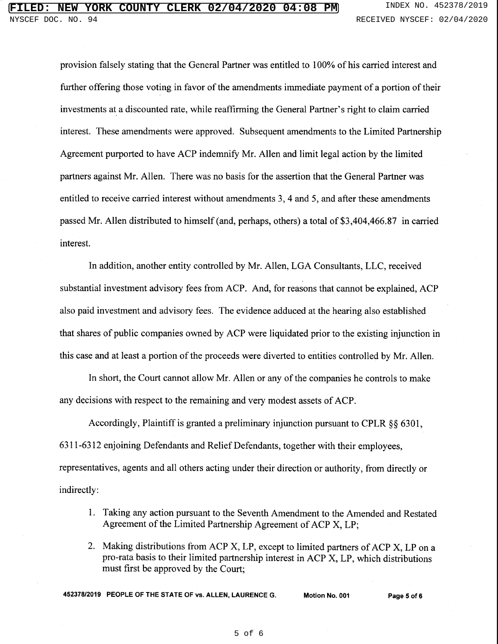provision falsely stating that the General Partner was entitled to 100% of his carried interest and further offering those voting in favor of the amendments immediate payment of a portion of their investments at a discounted rate, while reaffirming the General Partner's right to claim carried interest. These amendments were approved. Subsequent amendments to the Limited Partnership Agreement purported to have ACP indemnify Mr. Allen and limit legal action by the limited partners against Mr. Allen. There was no basis for the assertion that the General Partner was entitled to receive carried interest without amendments 3, 4 and 5, and after these amendments passed Mr. Allen distributed to himself (and, perhaps, others) a total of \$3,404,466.87 in carried interest.

In addition, another entity controlled by Mr. Allen, LOA Consultants, LLC, received substantial investment advisory fees from ACP. And, for reasons that cannot be explained, ACP also paid investment and advisory fees. The evidence adduced at the hearing also established that shares of public companies owned by ACP were liquidated prior to the existing injunction in this case and at least a portion of the proceeds were diverted to entities controlled by Mr. Allen.

In short, the Court cannot allow Mr. Allen or any of the companies he controls to make any decisions with respect to the remaining and very modest assets of ACP.

Accordingly, Plaintiff is granted a preliminary injunction pursuant to CPLR §§ 6301, 6311-6312 enjoining Defendants and Relief Defendants, together with their employees, representatives, agents and all others acting under their direction or authority, from directly or indirectly:

- 1. Taking any action pursuant to the Seventh Amendment to the Amended and Restated Agreement of the Limited Partnership Agreement of ACP X, LP;
- 2. Making distributions from ACP X, LP, except to limited partners of ACP X, LP on a pro-rata basis to their limited partnership interest in ACP X, LP, which distributions must first be approved by the Court;

**452378/2019 PEOPLE OF THE STATE OF vs. ALLEN, LAURENCE G. Motion No. 001 Page 5 of 6**